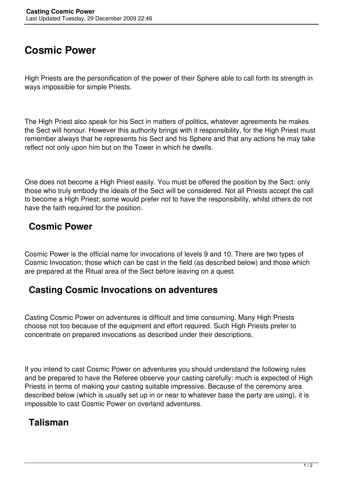# **Cosmic Power**

High Priests are the personification of the power of their Sphere able to call forth its strength in ways impossible for simple Priests.

The High Priest also speak for his Sect in matters of politics, whatever agreements he makes the Sect will honour. However this authority brings with it responsibility, for the High Priest must remember always that he represents his Sect and his Sphere and that any actions he may take reflect not only upon him but on the Tower in which he dwells.

One does not become a High Priest easily. You must be offered the position by the Sect: only those who truly embody the ideals of the Sect will be considered. Not all Priests accept the call to become a High Priest; some would prefer not to have the responsibility, whilst others do not have the faith required for the position.

#### **Cosmic Power**

Cosmic Power is the official name for invocations of levels 9 and 10. There are two types of Cosmic Invocation; those which can be cast in the field (as described below) and those which are prepared at the Ritual area of the Sect before leaving on a quest.

#### **Casting Cosmic Invocations on adventures**

Casting Cosmic Power on adventures is difficult and time consuming. Many High Priests choose not too because of the equipment and effort required. Such High Priests prefer to concentrate on prepared invocations as described under their descriptions.

If you intend to cast Cosmic Power on adventures you should understand the following rules and be prepared to have the Referee observe your casting carefully: much is expected of High Priests in terms of making your casting suitable impressive. Because of the ceremony area described below (which is usually set up in or near to whatever base the party are using), it is impossible to cast Cosmic Power on overland adventures.

### **Talisman**